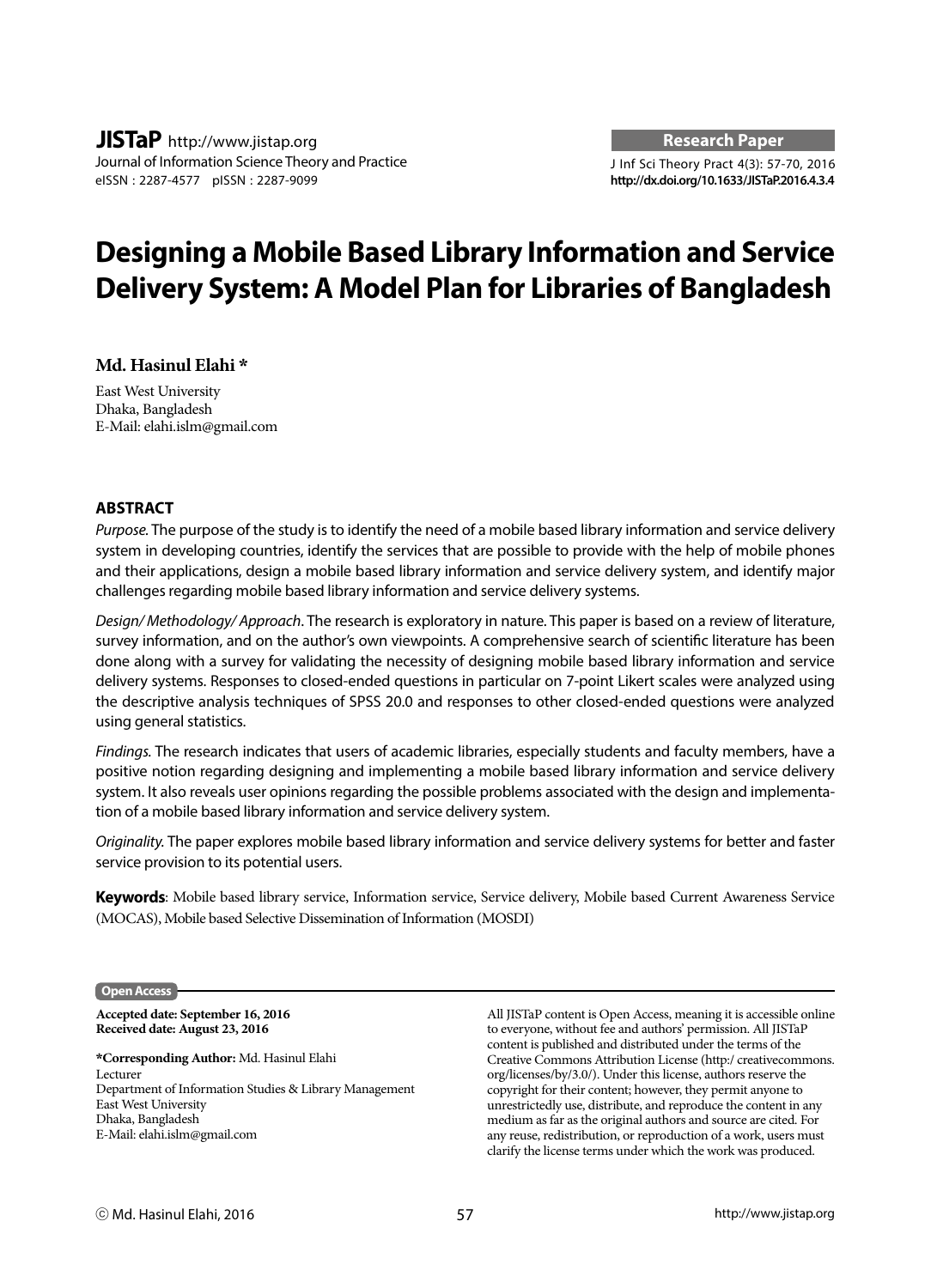# **Designing a Mobile Based Library Information and Service Delivery System: A Model Plan for Libraries of Bangladesh**

# **Md. Hasinul Elahi \***

East West University Dhaka, Bangladesh E-Mail: elahi.islm@gmail.com

# **ABSTRACT**

*Purpose.* The purpose of the study is to identify the need of a mobile based library information and service delivery system in developing countries, identify the services that are possible to provide with the help of mobile phones and their applications, design a mobile based library information and service delivery system, and identify major challenges regarding mobile based library information and service delivery systems.

*Design/ Methodology/ Approach*. The research is exploratory in nature. This paper is based on a review of literature, survey information, and on the author's own viewpoints. A comprehensive search of scientific literature has been done along with a survey for validating the necessity of designing mobile based library information and service delivery systems. Responses to closed-ended questions in particular on 7-point Likert scales were analyzed using the descriptive analysis techniques of SPSS 20.0 and responses to other closed-ended questions were analyzed using general statistics.

*Findings.* The research indicates that users of academic libraries, especially students and faculty members, have a positive notion regarding designing and implementing a mobile based library information and service delivery system. It also reveals user opinions regarding the possible problems associated with the design and implementation of a mobile based library information and service delivery system.

*Originality.* The paper explores mobile based library information and service delivery systems for better and faster service provision to its potential users.

**Keywords**: Mobile based library service, Information service, Service delivery, Mobile based Current Awareness Service (MOCAS), Mobile based Selective Dissemination of Information (MOSDI)

#### **Open Access**

**Accepted date: September 16, 2016 Received date: August 23, 2016**

**\*Corresponding Author:** Md. Hasinul Elahi Lecturer Department of Information Studies & Library Management East West University Dhaka, Bangladesh E-Mail: elahi.islm@gmail.com

All JISTaP content is Open Access, meaning it is accessible online to everyone, without fee and authors' permission. All JISTaP content is published and distributed under the terms of the Creative Commons Attribution License (http:/ creativecommons. org/licenses/by/3.0/). Under this license, authors reserve the copyright for their content; however, they permit anyone to unrestrictedly use, distribute, and reproduce the content in any medium as far as the original authors and source are cited. For any reuse, redistribution, or reproduction of a work, users must clarify the license terms under which the work was produced.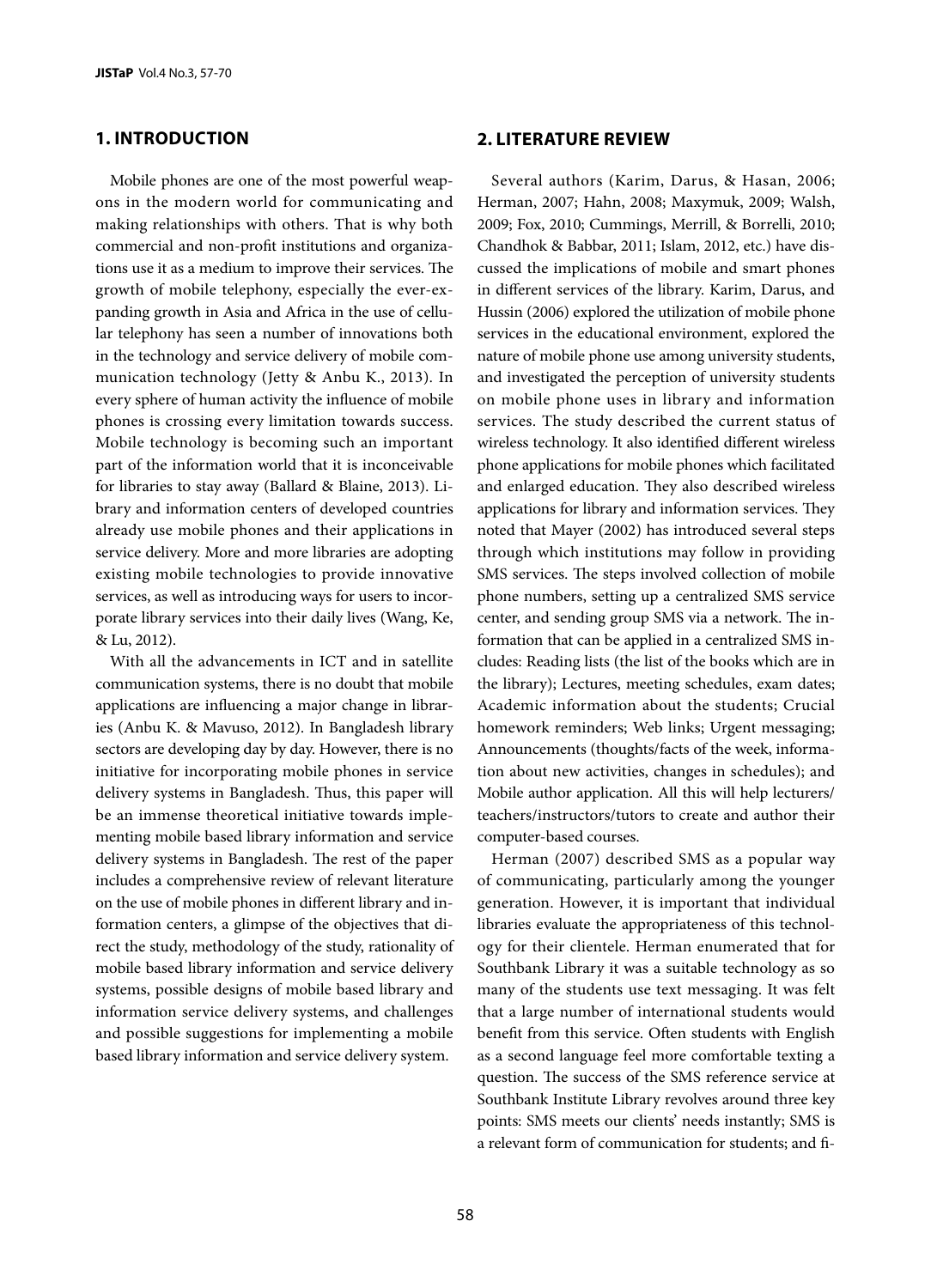# **1. INTRODUCTION**

Mobile phones are one of the most powerful weapons in the modern world for communicating and making relationships with others. That is why both commercial and non-profit institutions and organizations use it as a medium to improve their services. The growth of mobile telephony, especially the ever-expanding growth in Asia and Africa in the use of cellular telephony has seen a number of innovations both in the technology and service delivery of mobile communication technology (Jetty & Anbu K., 2013). In every sphere of human activity the influence of mobile phones is crossing every limitation towards success. Mobile technology is becoming such an important part of the information world that it is inconceivable for libraries to stay away (Ballard & Blaine, 2013). Library and information centers of developed countries already use mobile phones and their applications in service delivery. More and more libraries are adopting existing mobile technologies to provide innovative services, as well as introducing ways for users to incorporate library services into their daily lives (Wang, Ke, & Lu, 2012).

With all the advancements in ICT and in satellite communication systems, there is no doubt that mobile applications are influencing a major change in libraries (Anbu K. & Mavuso, 2012). In Bangladesh library sectors are developing day by day. However, there is no initiative for incorporating mobile phones in service delivery systems in Bangladesh. Thus, this paper will be an immense theoretical initiative towards implementing mobile based library information and service delivery systems in Bangladesh. The rest of the paper includes a comprehensive review of relevant literature on the use of mobile phones in different library and information centers, a glimpse of the objectives that direct the study, methodology of the study, rationality of mobile based library information and service delivery systems, possible designs of mobile based library and information service delivery systems, and challenges and possible suggestions for implementing a mobile based library information and service delivery system.

#### **2. LITERATURE REVIEW**

Several authors (Karim, Darus, & Hasan, 2006; Herman, 2007; Hahn, 2008; Maxymuk, 2009; Walsh, 2009; Fox, 2010; Cummings, Merrill, & Borrelli, 2010; Chandhok & Babbar, 2011; Islam, 2012, etc.) have discussed the implications of mobile and smart phones in different services of the library. Karim, Darus, and Hussin (2006) explored the utilization of mobile phone services in the educational environment, explored the nature of mobile phone use among university students, and investigated the perception of university students on mobile phone uses in library and information services. The study described the current status of wireless technology. It also identified different wireless phone applications for mobile phones which facilitated and enlarged education. They also described wireless applications for library and information services. They noted that Mayer (2002) has introduced several steps through which institutions may follow in providing SMS services. The steps involved collection of mobile phone numbers, setting up a centralized SMS service center, and sending group SMS via a network. The information that can be applied in a centralized SMS includes: Reading lists (the list of the books which are in the library); Lectures, meeting schedules, exam dates; Academic information about the students; Crucial homework reminders; Web links; Urgent messaging; Announcements (thoughts/facts of the week, information about new activities, changes in schedules); and Mobile author application. All this will help lecturers/ teachers/instructors/tutors to create and author their computer-based courses.

Herman (2007) described SMS as a popular way of communicating, particularly among the younger generation. However, it is important that individual libraries evaluate the appropriateness of this technology for their clientele. Herman enumerated that for Southbank Library it was a suitable technology as so many of the students use text messaging. It was felt that a large number of international students would benefit from this service. Often students with English as a second language feel more comfortable texting a question. The success of the SMS reference service at Southbank Institute Library revolves around three key points: SMS meets our clients' needs instantly; SMS is a relevant form of communication for students; and fi-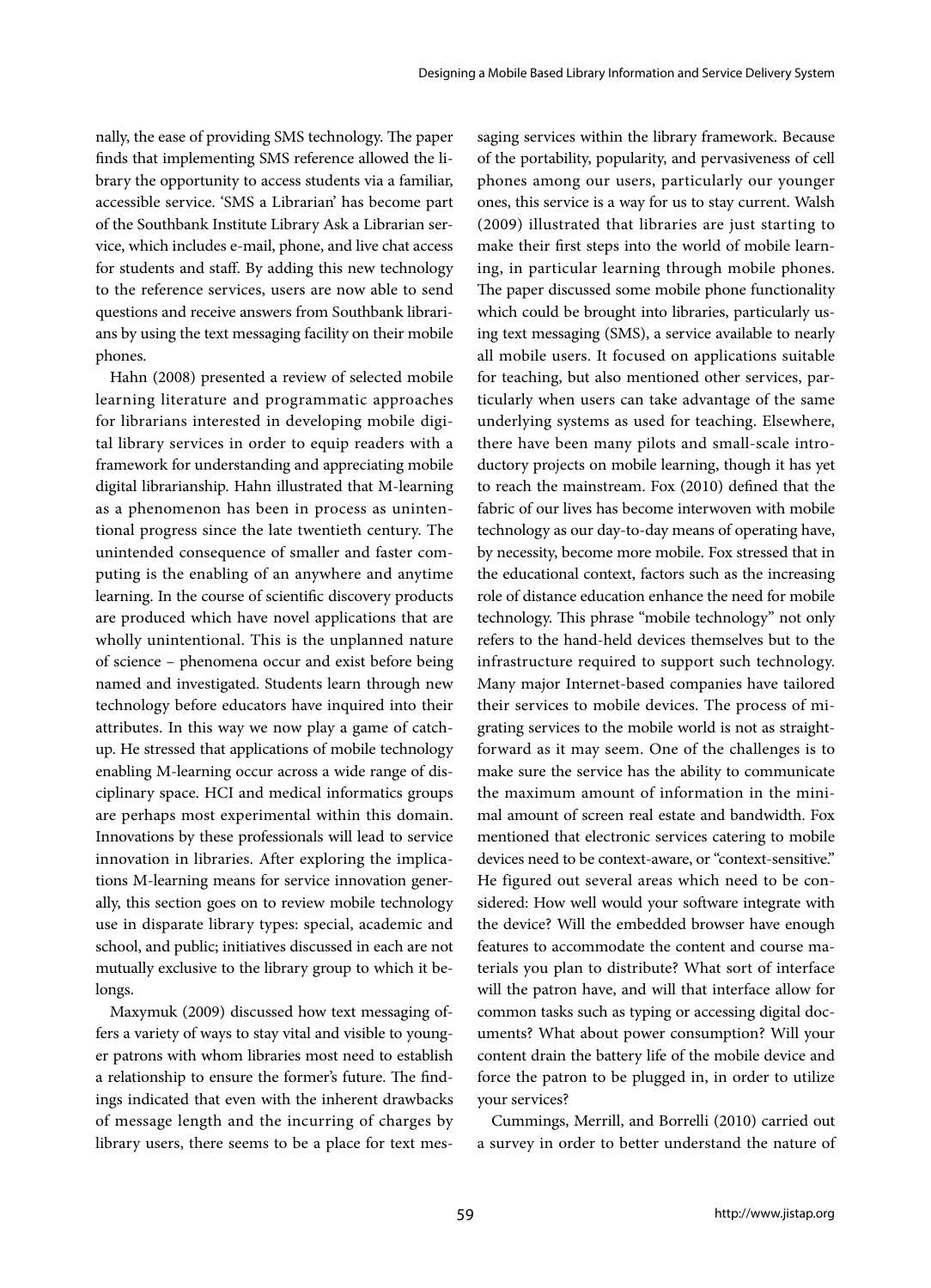nally, the ease of providing SMS technology. The paper finds that implementing SMS reference allowed the library the opportunity to access students via a familiar, accessible service. 'SMS a Librarian' has become part of the Southbank Institute Library Ask a Librarian service, which includes e-mail, phone, and live chat access for students and staff. By adding this new technology to the reference services, users are now able to send questions and receive answers from Southbank librarians by using the text messaging facility on their mobile phones.

Hahn (2008) presented a review of selected mobile learning literature and programmatic approaches for librarians interested in developing mobile digital library services in order to equip readers with a framework for understanding and appreciating mobile digital librarianship. Hahn illustrated that M-learning as a phenomenon has been in process as unintentional progress since the late twentieth century. The unintended consequence of smaller and faster computing is the enabling of an anywhere and anytime learning. In the course of scientific discovery products are produced which have novel applications that are wholly unintentional. This is the unplanned nature of science – phenomena occur and exist before being named and investigated. Students learn through new technology before educators have inquired into their attributes. In this way we now play a game of catchup. He stressed that applications of mobile technology enabling M-learning occur across a wide range of disciplinary space. HCI and medical informatics groups are perhaps most experimental within this domain. Innovations by these professionals will lead to service innovation in libraries. After exploring the implications M-learning means for service innovation generally, this section goes on to review mobile technology use in disparate library types: special, academic and school, and public; initiatives discussed in each are not mutually exclusive to the library group to which it belongs.

Maxymuk (2009) discussed how text messaging offers a variety of ways to stay vital and visible to younger patrons with whom libraries most need to establish a relationship to ensure the former's future. The findings indicated that even with the inherent drawbacks of message length and the incurring of charges by library users, there seems to be a place for text mes-

saging services within the library framework. Because of the portability, popularity, and pervasiveness of cell phones among our users, particularly our younger ones, this service is a way for us to stay current. Walsh (2009) illustrated that libraries are just starting to make their first steps into the world of mobile learning, in particular learning through mobile phones. The paper discussed some mobile phone functionality which could be brought into libraries, particularly using text messaging (SMS), a service available to nearly all mobile users. It focused on applications suitable for teaching, but also mentioned other services, particularly when users can take advantage of the same underlying systems as used for teaching. Elsewhere, there have been many pilots and small-scale introductory projects on mobile learning, though it has yet to reach the mainstream. Fox (2010) defined that the fabric of our lives has become interwoven with mobile technology as our day-to-day means of operating have, by necessity, become more mobile. Fox stressed that in the educational context, factors such as the increasing role of distance education enhance the need for mobile technology. This phrase "mobile technology" not only refers to the hand-held devices themselves but to the infrastructure required to support such technology. Many major Internet-based companies have tailored their services to mobile devices. The process of migrating services to the mobile world is not as straightforward as it may seem. One of the challenges is to make sure the service has the ability to communicate the maximum amount of information in the minimal amount of screen real estate and bandwidth. Fox mentioned that electronic services catering to mobile devices need to be context-aware, or "context-sensitive." He figured out several areas which need to be considered: How well would your software integrate with the device? Will the embedded browser have enough features to accommodate the content and course materials you plan to distribute? What sort of interface will the patron have, and will that interface allow for common tasks such as typing or accessing digital documents? What about power consumption? Will your content drain the battery life of the mobile device and force the patron to be plugged in, in order to utilize your services?

Cummings, Merrill, and Borrelli (2010) carried out a survey in order to better understand the nature of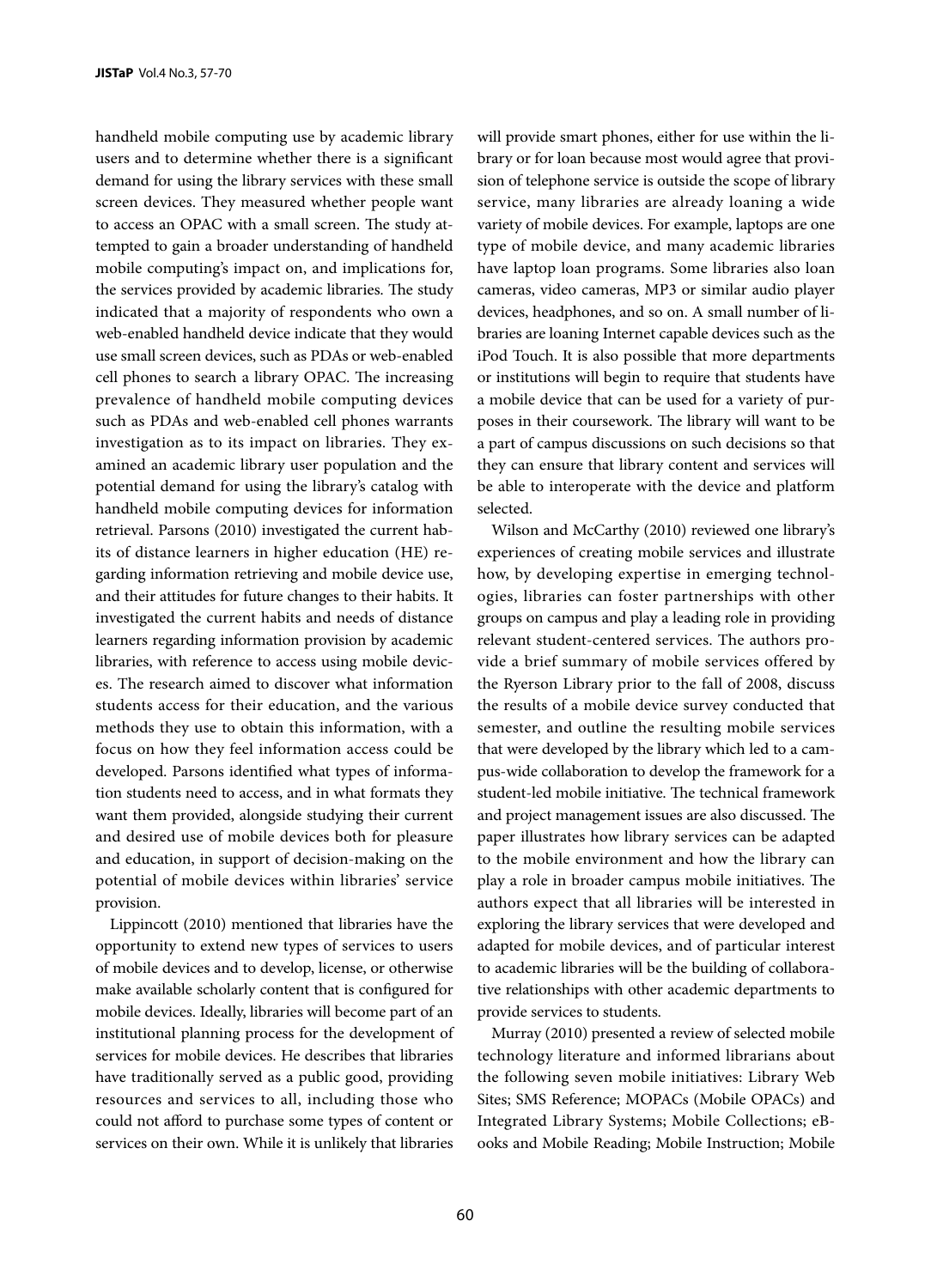handheld mobile computing use by academic library users and to determine whether there is a significant demand for using the library services with these small screen devices. They measured whether people want to access an OPAC with a small screen. The study attempted to gain a broader understanding of handheld mobile computing's impact on, and implications for, the services provided by academic libraries. The study indicated that a majority of respondents who own a web-enabled handheld device indicate that they would use small screen devices, such as PDAs or web-enabled cell phones to search a library OPAC. The increasing prevalence of handheld mobile computing devices such as PDAs and web-enabled cell phones warrants investigation as to its impact on libraries. They examined an academic library user population and the potential demand for using the library's catalog with handheld mobile computing devices for information retrieval. Parsons (2010) investigated the current habits of distance learners in higher education (HE) regarding information retrieving and mobile device use, and their attitudes for future changes to their habits. It investigated the current habits and needs of distance learners regarding information provision by academic libraries, with reference to access using mobile devices. The research aimed to discover what information students access for their education, and the various methods they use to obtain this information, with a focus on how they feel information access could be developed. Parsons identified what types of information students need to access, and in what formats they want them provided, alongside studying their current and desired use of mobile devices both for pleasure and education, in support of decision-making on the potential of mobile devices within libraries' service provision.

Lippincott (2010) mentioned that libraries have the opportunity to extend new types of services to users of mobile devices and to develop, license, or otherwise make available scholarly content that is configured for mobile devices. Ideally, libraries will become part of an institutional planning process for the development of services for mobile devices. He describes that libraries have traditionally served as a public good, providing resources and services to all, including those who could not afford to purchase some types of content or services on their own. While it is unlikely that libraries

will provide smart phones, either for use within the library or for loan because most would agree that provision of telephone service is outside the scope of library service, many libraries are already loaning a wide variety of mobile devices. For example, laptops are one type of mobile device, and many academic libraries have laptop loan programs. Some libraries also loan cameras, video cameras, MP3 or similar audio player devices, headphones, and so on. A small number of libraries are loaning Internet capable devices such as the iPod Touch. It is also possible that more departments or institutions will begin to require that students have a mobile device that can be used for a variety of purposes in their coursework. The library will want to be a part of campus discussions on such decisions so that they can ensure that library content and services will be able to interoperate with the device and platform selected.

Wilson and McCarthy (2010) reviewed one library's experiences of creating mobile services and illustrate how, by developing expertise in emerging technologies, libraries can foster partnerships with other groups on campus and play a leading role in providing relevant student-centered services. The authors provide a brief summary of mobile services offered by the Ryerson Library prior to the fall of 2008, discuss the results of a mobile device survey conducted that semester, and outline the resulting mobile services that were developed by the library which led to a campus-wide collaboration to develop the framework for a student-led mobile initiative. The technical framework and project management issues are also discussed. The paper illustrates how library services can be adapted to the mobile environment and how the library can play a role in broader campus mobile initiatives. The authors expect that all libraries will be interested in exploring the library services that were developed and adapted for mobile devices, and of particular interest to academic libraries will be the building of collaborative relationships with other academic departments to provide services to students.

Murray (2010) presented a review of selected mobile technology literature and informed librarians about the following seven mobile initiatives: Library Web Sites; SMS Reference; MOPACs (Mobile OPACs) and Integrated Library Systems; Mobile Collections; eBooks and Mobile Reading; Mobile Instruction; Mobile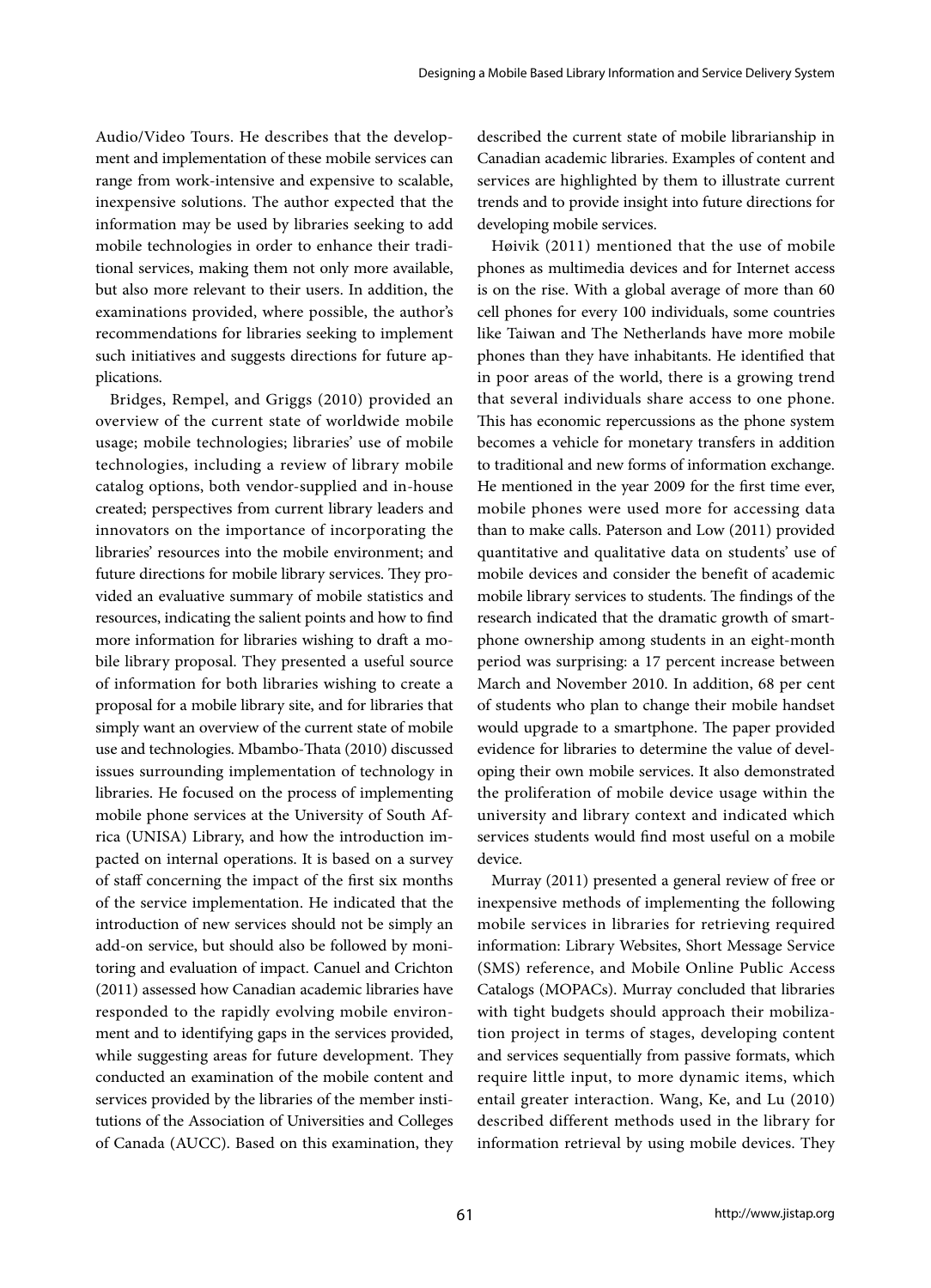Audio/Video Tours. He describes that the development and implementation of these mobile services can range from work-intensive and expensive to scalable, inexpensive solutions. The author expected that the information may be used by libraries seeking to add mobile technologies in order to enhance their traditional services, making them not only more available, but also more relevant to their users. In addition, the examinations provided, where possible, the author's recommendations for libraries seeking to implement such initiatives and suggests directions for future applications.

Bridges, Rempel, and Griggs (2010) provided an overview of the current state of worldwide mobile usage; mobile technologies; libraries' use of mobile technologies, including a review of library mobile catalog options, both vendor-supplied and in-house created; perspectives from current library leaders and innovators on the importance of incorporating the libraries' resources into the mobile environment; and future directions for mobile library services. They provided an evaluative summary of mobile statistics and resources, indicating the salient points and how to find more information for libraries wishing to draft a mobile library proposal. They presented a useful source of information for both libraries wishing to create a proposal for a mobile library site, and for libraries that simply want an overview of the current state of mobile use and technologies. Mbambo-Thata (2010) discussed issues surrounding implementation of technology in libraries. He focused on the process of implementing mobile phone services at the University of South Africa (UNISA) Library, and how the introduction impacted on internal operations. It is based on a survey of staff concerning the impact of the first six months of the service implementation. He indicated that the introduction of new services should not be simply an add-on service, but should also be followed by monitoring and evaluation of impact. Canuel and Crichton (2011) assessed how Canadian academic libraries have responded to the rapidly evolving mobile environment and to identifying gaps in the services provided, while suggesting areas for future development. They conducted an examination of the mobile content and services provided by the libraries of the member institutions of the Association of Universities and Colleges of Canada (AUCC). Based on this examination, they

described the current state of mobile librarianship in Canadian academic libraries. Examples of content and services are highlighted by them to illustrate current trends and to provide insight into future directions for developing mobile services.

Høivik (2011) mentioned that the use of mobile phones as multimedia devices and for Internet access is on the rise. With a global average of more than 60 cell phones for every 100 individuals, some countries like Taiwan and The Netherlands have more mobile phones than they have inhabitants. He identified that in poor areas of the world, there is a growing trend that several individuals share access to one phone. This has economic repercussions as the phone system becomes a vehicle for monetary transfers in addition to traditional and new forms of information exchange. He mentioned in the year 2009 for the first time ever, mobile phones were used more for accessing data than to make calls. Paterson and Low (2011) provided quantitative and qualitative data on students' use of mobile devices and consider the benefit of academic mobile library services to students. The findings of the research indicated that the dramatic growth of smartphone ownership among students in an eight-month period was surprising: a 17 percent increase between March and November 2010. In addition, 68 per cent of students who plan to change their mobile handset would upgrade to a smartphone. The paper provided evidence for libraries to determine the value of developing their own mobile services. It also demonstrated the proliferation of mobile device usage within the university and library context and indicated which services students would find most useful on a mobile device.

Murray (2011) presented a general review of free or inexpensive methods of implementing the following mobile services in libraries for retrieving required information: Library Websites, Short Message Service (SMS) reference, and Mobile Online Public Access Catalogs (MOPACs). Murray concluded that libraries with tight budgets should approach their mobilization project in terms of stages, developing content and services sequentially from passive formats, which require little input, to more dynamic items, which entail greater interaction. Wang, Ke, and Lu (2010) described different methods used in the library for information retrieval by using mobile devices. They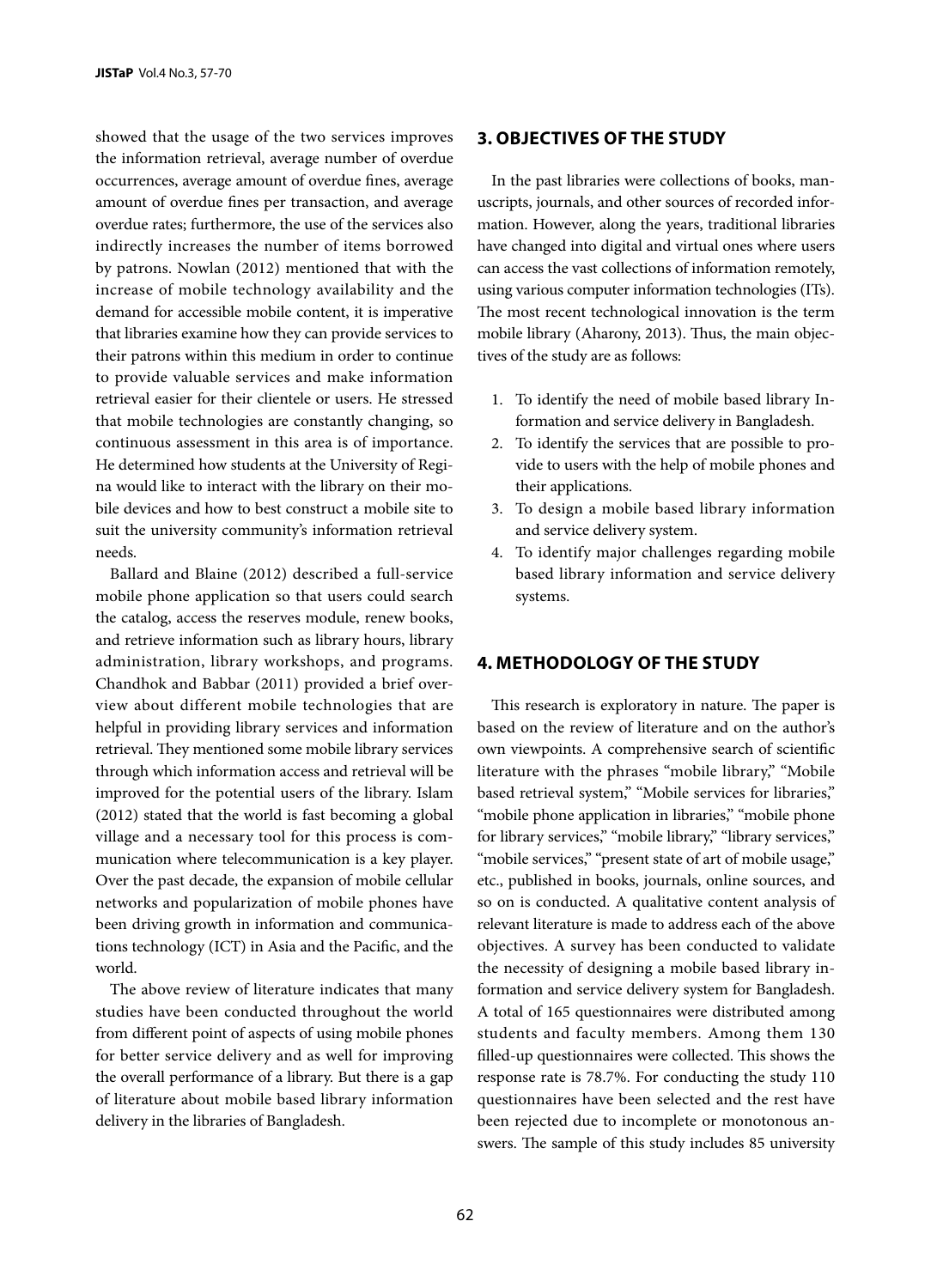showed that the usage of the two services improves the information retrieval, average number of overdue occurrences, average amount of overdue fines, average amount of overdue fines per transaction, and average overdue rates; furthermore, the use of the services also indirectly increases the number of items borrowed by patrons. Nowlan (2012) mentioned that with the increase of mobile technology availability and the demand for accessible mobile content, it is imperative that libraries examine how they can provide services to their patrons within this medium in order to continue to provide valuable services and make information retrieval easier for their clientele or users. He stressed that mobile technologies are constantly changing, so continuous assessment in this area is of importance. He determined how students at the University of Regina would like to interact with the library on their mobile devices and how to best construct a mobile site to suit the university community's information retrieval needs.

Ballard and Blaine (2012) described a full-service mobile phone application so that users could search the catalog, access the reserves module, renew books, and retrieve information such as library hours, library administration, library workshops, and programs. Chandhok and Babbar (2011) provided a brief overview about different mobile technologies that are helpful in providing library services and information retrieval. They mentioned some mobile library services through which information access and retrieval will be improved for the potential users of the library. Islam (2012) stated that the world is fast becoming a global village and a necessary tool for this process is communication where telecommunication is a key player. Over the past decade, the expansion of mobile cellular networks and popularization of mobile phones have been driving growth in information and communications technology (ICT) in Asia and the Pacific, and the world.

The above review of literature indicates that many studies have been conducted throughout the world from different point of aspects of using mobile phones for better service delivery and as well for improving the overall performance of a library. But there is a gap of literature about mobile based library information delivery in the libraries of Bangladesh.

### **3. OBJECTIVES OF THE STUDY**

In the past libraries were collections of books, manuscripts, journals, and other sources of recorded information. However, along the years, traditional libraries have changed into digital and virtual ones where users can access the vast collections of information remotely, using various computer information technologies (ITs). The most recent technological innovation is the term mobile library (Aharony, 2013). Thus, the main objectives of the study are as follows:

- 1. To identify the need of mobile based library Information and service delivery in Bangladesh.
- 2. To identify the services that are possible to provide to users with the help of mobile phones and their applications.
- 3. To design a mobile based library information and service delivery system.
- 4. To identify major challenges regarding mobile based library information and service delivery systems.

# **4. METHODOLOGY OF THE STUDY**

This research is exploratory in nature. The paper is based on the review of literature and on the author's own viewpoints. A comprehensive search of scientific literature with the phrases "mobile library," "Mobile based retrieval system," "Mobile services for libraries," "mobile phone application in libraries," "mobile phone for library services," "mobile library," "library services," "mobile services," "present state of art of mobile usage," etc., published in books, journals, online sources, and so on is conducted. A qualitative content analysis of relevant literature is made to address each of the above objectives. A survey has been conducted to validate the necessity of designing a mobile based library information and service delivery system for Bangladesh. A total of 165 questionnaires were distributed among students and faculty members. Among them 130 filled-up questionnaires were collected. This shows the response rate is 78.7%. For conducting the study 110 questionnaires have been selected and the rest have been rejected due to incomplete or monotonous answers. The sample of this study includes 85 university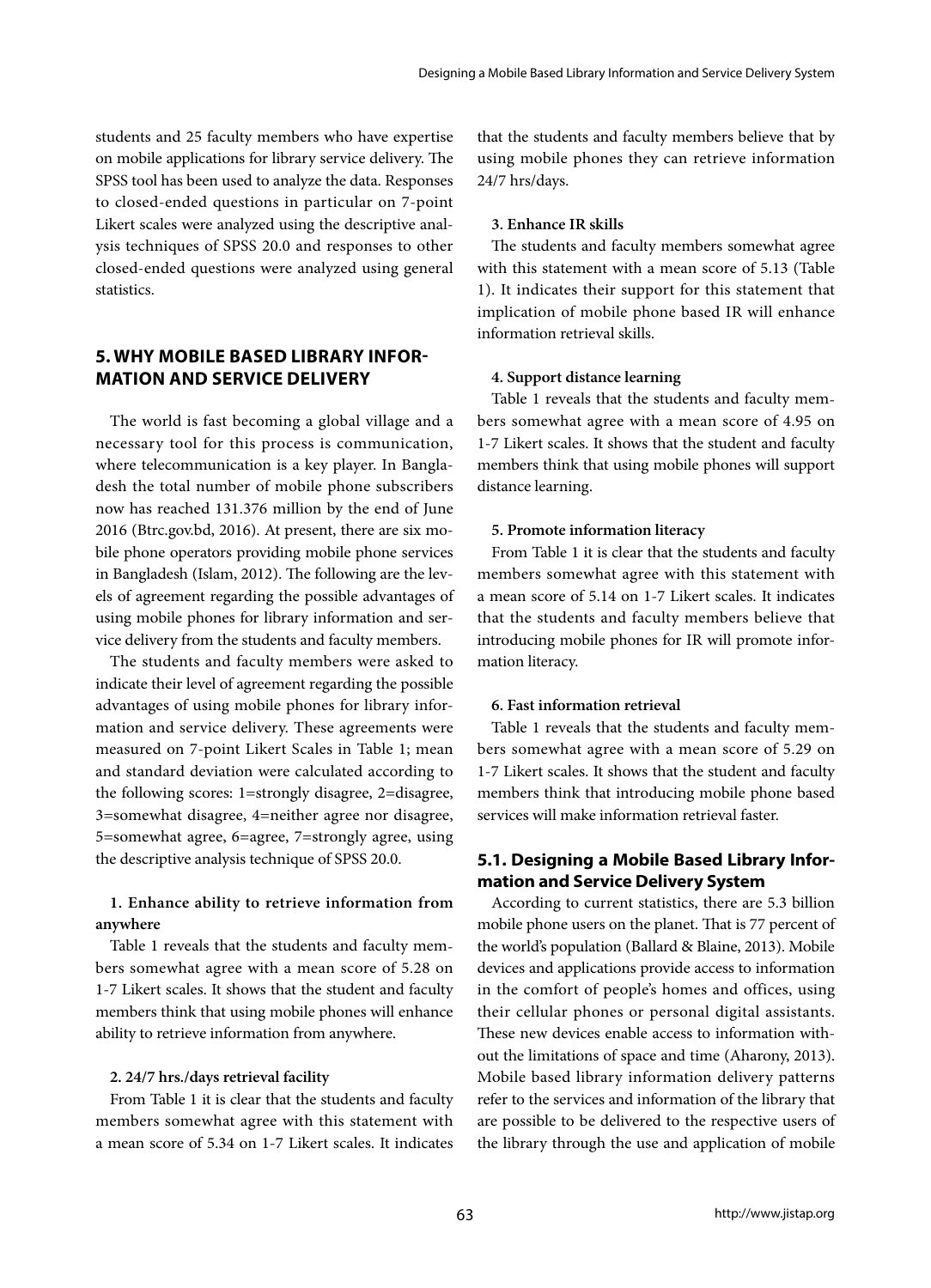students and 25 faculty members who have expertise on mobile applications for library service delivery. The SPSS tool has been used to analyze the data. Responses to closed-ended questions in particular on 7-point Likert scales were analyzed using the descriptive analysis techniques of SPSS 20.0 and responses to other closed-ended questions were analyzed using general statistics.

# **5. WHY MOBILE BASED LIBRARY INFOR-MATION AND SERVICE DELIVERY**

The world is fast becoming a global village and a necessary tool for this process is communication, where telecommunication is a key player. In Bangladesh the total number of mobile phone subscribers now has reached 131.376 million by the end of June 2016 (Btrc.gov.bd, 2016). At present, there are six mobile phone operators providing mobile phone services in Bangladesh (Islam, 2012). The following are the levels of agreement regarding the possible advantages of using mobile phones for library information and service delivery from the students and faculty members.

The students and faculty members were asked to indicate their level of agreement regarding the possible advantages of using mobile phones for library information and service delivery. These agreements were measured on 7-point Likert Scales in Table 1; mean and standard deviation were calculated according to the following scores: 1=strongly disagree, 2=disagree, 3=somewhat disagree, 4=neither agree nor disagree, 5=somewhat agree, 6=agree, 7=strongly agree, using the descriptive analysis technique of SPSS 20.0.

# **1. Enhance ability to retrieve information from anywhere**

Table 1 reveals that the students and faculty members somewhat agree with a mean score of 5.28 on 1-7 Likert scales. It shows that the student and faculty members think that using mobile phones will enhance ability to retrieve information from anywhere.

#### **2. 24/7 hrs./days retrieval facility**

From Table 1 it is clear that the students and faculty members somewhat agree with this statement with a mean score of 5.34 on 1-7 Likert scales. It indicates that the students and faculty members believe that by using mobile phones they can retrieve information 24/7 hrs/days.

### **3. Enhance IR skills**

The students and faculty members somewhat agree with this statement with a mean score of 5.13 (Table 1). It indicates their support for this statement that implication of mobile phone based IR will enhance information retrieval skills.

#### **4. Support distance learning**

Table 1 reveals that the students and faculty members somewhat agree with a mean score of 4.95 on 1-7 Likert scales. It shows that the student and faculty members think that using mobile phones will support distance learning.

#### **5. Promote information literacy**

From Table 1 it is clear that the students and faculty members somewhat agree with this statement with a mean score of 5.14 on 1-7 Likert scales. It indicates that the students and faculty members believe that introducing mobile phones for IR will promote information literacy.

#### **6. Fast information retrieval**

Table 1 reveals that the students and faculty members somewhat agree with a mean score of 5.29 on 1-7 Likert scales. It shows that the student and faculty members think that introducing mobile phone based services will make information retrieval faster.

# **5.1. Designing a Mobile Based Library Information and Service Delivery System**

According to current statistics, there are 5.3 billion mobile phone users on the planet. That is 77 percent of the world's population (Ballard & Blaine, 2013). Mobile devices and applications provide access to information in the comfort of people's homes and offices, using their cellular phones or personal digital assistants. These new devices enable access to information without the limitations of space and time (Aharony, 2013). Mobile based library information delivery patterns refer to the services and information of the library that are possible to be delivered to the respective users of the library through the use and application of mobile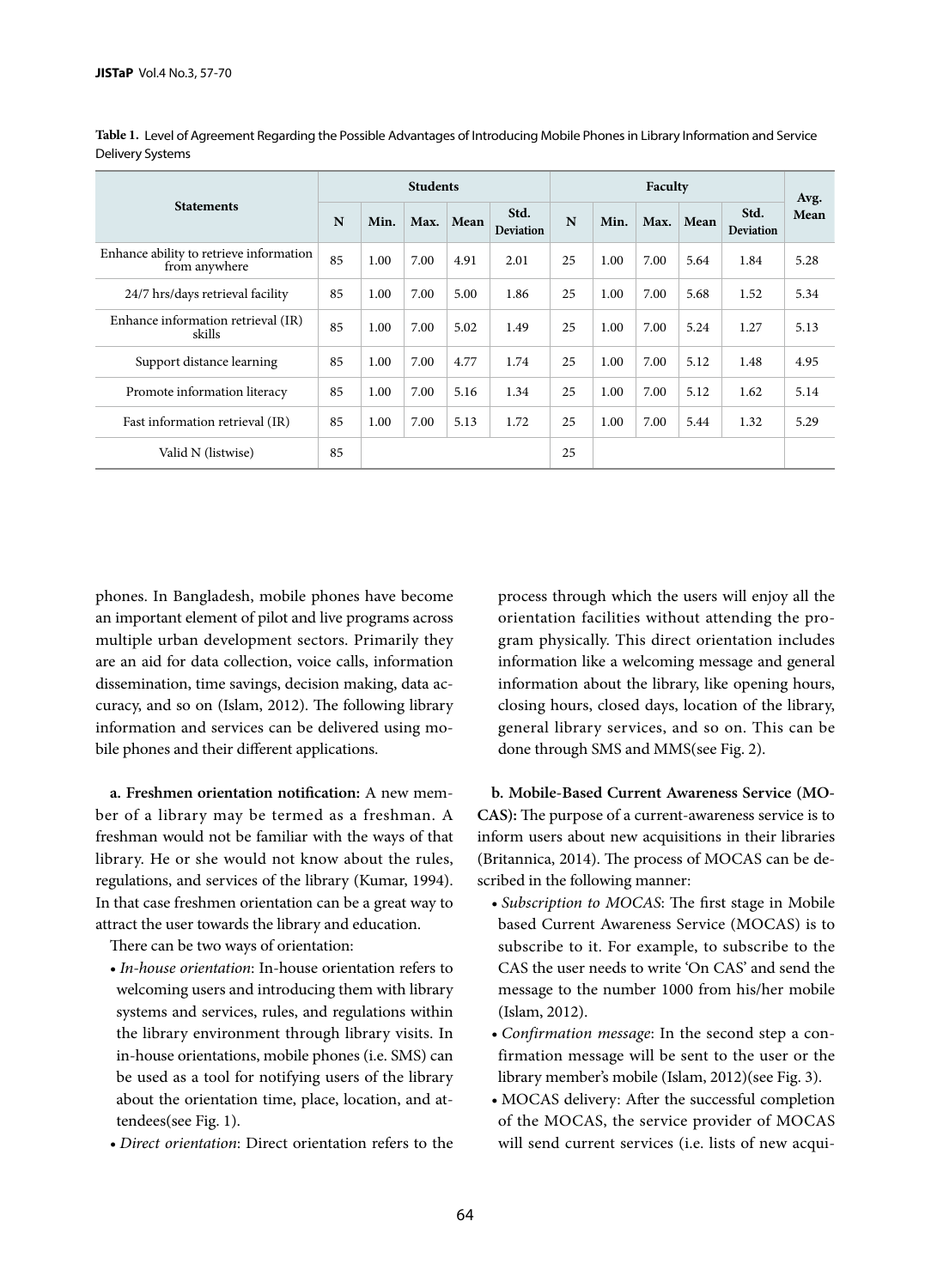|                                                          | <b>Students</b> |      |      |           |                          | Faculty |      |      |      |                          | Avg. |
|----------------------------------------------------------|-----------------|------|------|-----------|--------------------------|---------|------|------|------|--------------------------|------|
| <b>Statements</b>                                        | N               | Min. |      | Max. Mean | Std.<br><b>Deviation</b> | N       | Min. | Max. | Mean | Std.<br><b>Deviation</b> | Mean |
| Enhance ability to retrieve information<br>from anywhere | 85              | 1.00 | 7.00 | 4.91      | 2.01                     | 25      | 1.00 | 7.00 | 5.64 | 1.84                     | 5.28 |
| 24/7 hrs/days retrieval facility                         | 85              | 1.00 | 7.00 | 5.00      | 1.86                     | 25      | 1.00 | 7.00 | 5.68 | 1.52                     | 5.34 |
| Enhance information retrieval (IR)<br>skills             | 85              | 1.00 | 7.00 | 5.02      | 1.49                     | 25      | 1.00 | 7.00 | 5.24 | 1.27                     | 5.13 |
| Support distance learning                                | 85              | 1.00 | 7.00 | 4.77      | 1.74                     | 25      | 1.00 | 7.00 | 5.12 | 1.48                     | 4.95 |
| Promote information literacy                             | 85              | 1.00 | 7.00 | 5.16      | 1.34                     | 25      | 1.00 | 7.00 | 5.12 | 1.62                     | 5.14 |
| Fast information retrieval (IR)                          | 85              | 1.00 | 7.00 | 5.13      | 1.72                     | 25      | 1.00 | 7.00 | 5.44 | 1.32                     | 5.29 |
| Valid N (listwise)                                       | 85              |      |      |           |                          | 25      |      |      |      |                          |      |

**Table 1.** Level of Agreement Regarding the Possible Advantages of Introducing Mobile Phones in Library Information and Service Delivery Systems

phones. In Bangladesh, mobile phones have become an important element of pilot and live programs across multiple urban development sectors. Primarily they are an aid for data collection, voice calls, information dissemination, time savings, decision making, data accuracy, and so on (Islam, 2012). The following library information and services can be delivered using mobile phones and their different applications.

**a. Freshmen orientation notification:** A new member of a library may be termed as a freshman. A freshman would not be familiar with the ways of that library. He or she would not know about the rules, regulations, and services of the library (Kumar, 1994). In that case freshmen orientation can be a great way to attract the user towards the library and education.

There can be two ways of orientation:

- *In-house orientation*: In-house orientation refers to welcoming users and introducing them with library systems and services, rules, and regulations within the library environment through library visits. In in-house orientations, mobile phones (i.e. SMS) can be used as a tool for notifying users of the library about the orientation time, place, location, and attendees(see Fig. 1).
- *Direct orientation*: Direct orientation refers to the

process through which the users will enjoy all the orientation facilities without attending the program physically. This direct orientation includes information like a welcoming message and general information about the library, like opening hours, closing hours, closed days, location of the library, general library services, and so on. This can be done through SMS and MMS(see Fig. 2).

**b. Mobile-Based Current Awareness Service (MO-CAS):** The purpose of a current-awareness service is to inform users about new acquisitions in their libraries (Britannica, 2014). The process of MOCAS can be described in the following manner:

- *Subscription to MOCAS*: The first stage in Mobile based Current Awareness Service (MOCAS) is to subscribe to it. For example, to subscribe to the CAS the user needs to write 'On CAS' and send the message to the number 1000 from his/her mobile (Islam, 2012).
- *Confirmation message*: In the second step a confirmation message will be sent to the user or the library member's mobile (Islam, 2012)(see Fig. 3).
- MOCAS delivery: After the successful completion of the MOCAS, the service provider of MOCAS will send current services (i.e. lists of new acqui-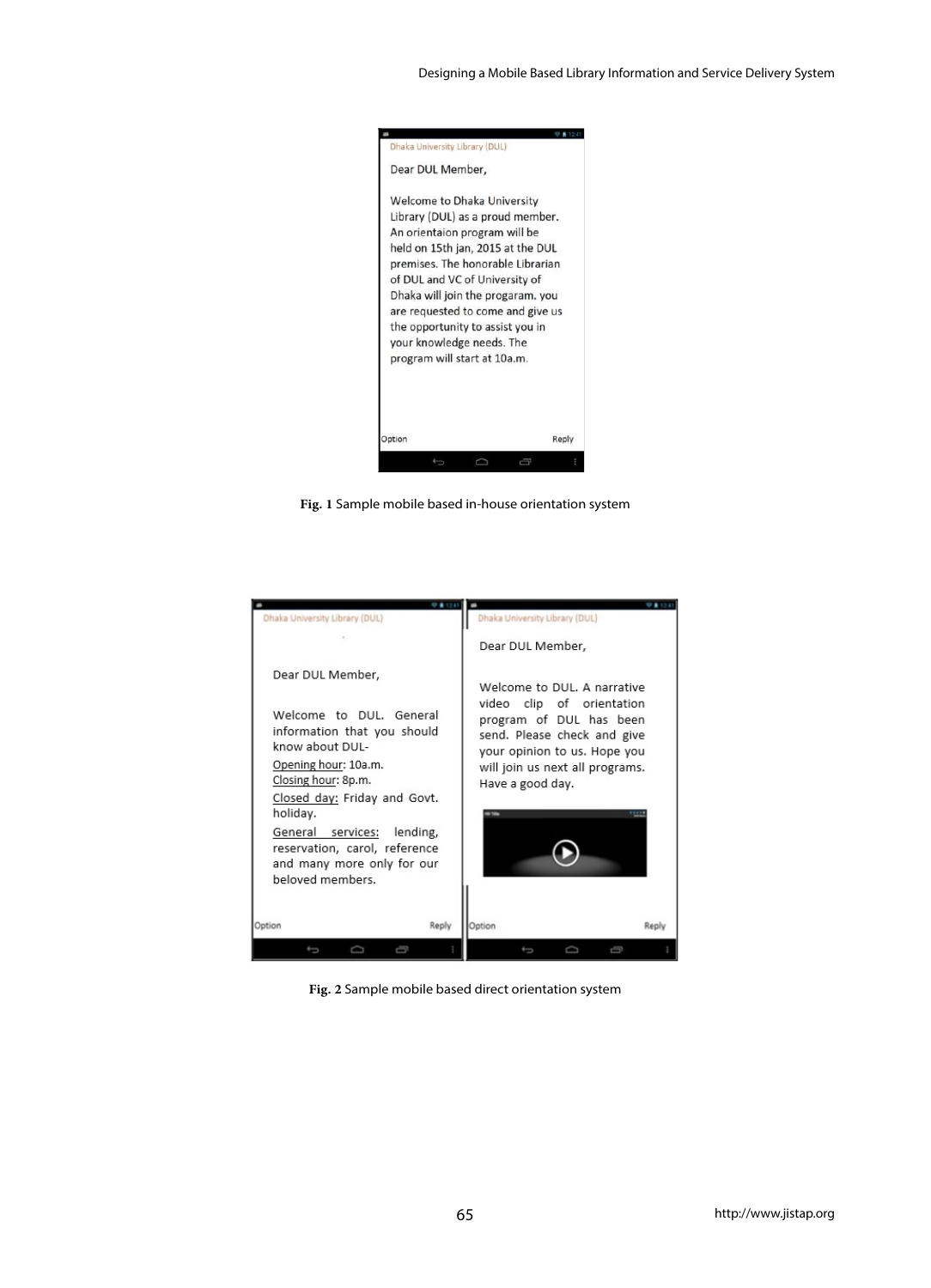

**Fig. 1** Sample mobile based in-house orientation system

| Dhaka University Library (DUL)                                                                                                                                                                                                                                                                               | Dhaka University Library (DUL)<br>Dear DUL Member,                                                                                                                                                        |
|--------------------------------------------------------------------------------------------------------------------------------------------------------------------------------------------------------------------------------------------------------------------------------------------------------------|-----------------------------------------------------------------------------------------------------------------------------------------------------------------------------------------------------------|
| Dear DUL Member,<br>Welcome to DUL, General<br>information that you should<br>know about DUI-<br>Opening hour: 10a.m.<br>Closing hour: 8p.m.<br>Closed day: Friday and Govt.<br>holiday.<br>General services:<br>lending,<br>reservation, carol, reference<br>and many more only for our<br>beloved members. | Welcome to DUL. A narrative<br>video clip of orientation<br>program of DUL has been<br>send. Please check and give<br>your opinion to us. Hope you<br>will join us next all programs.<br>Have a good day. |
| Reply<br>Option                                                                                                                                                                                                                                                                                              | Option<br>Reply                                                                                                                                                                                           |

**Fig. 2** Sample mobile based direct orientation system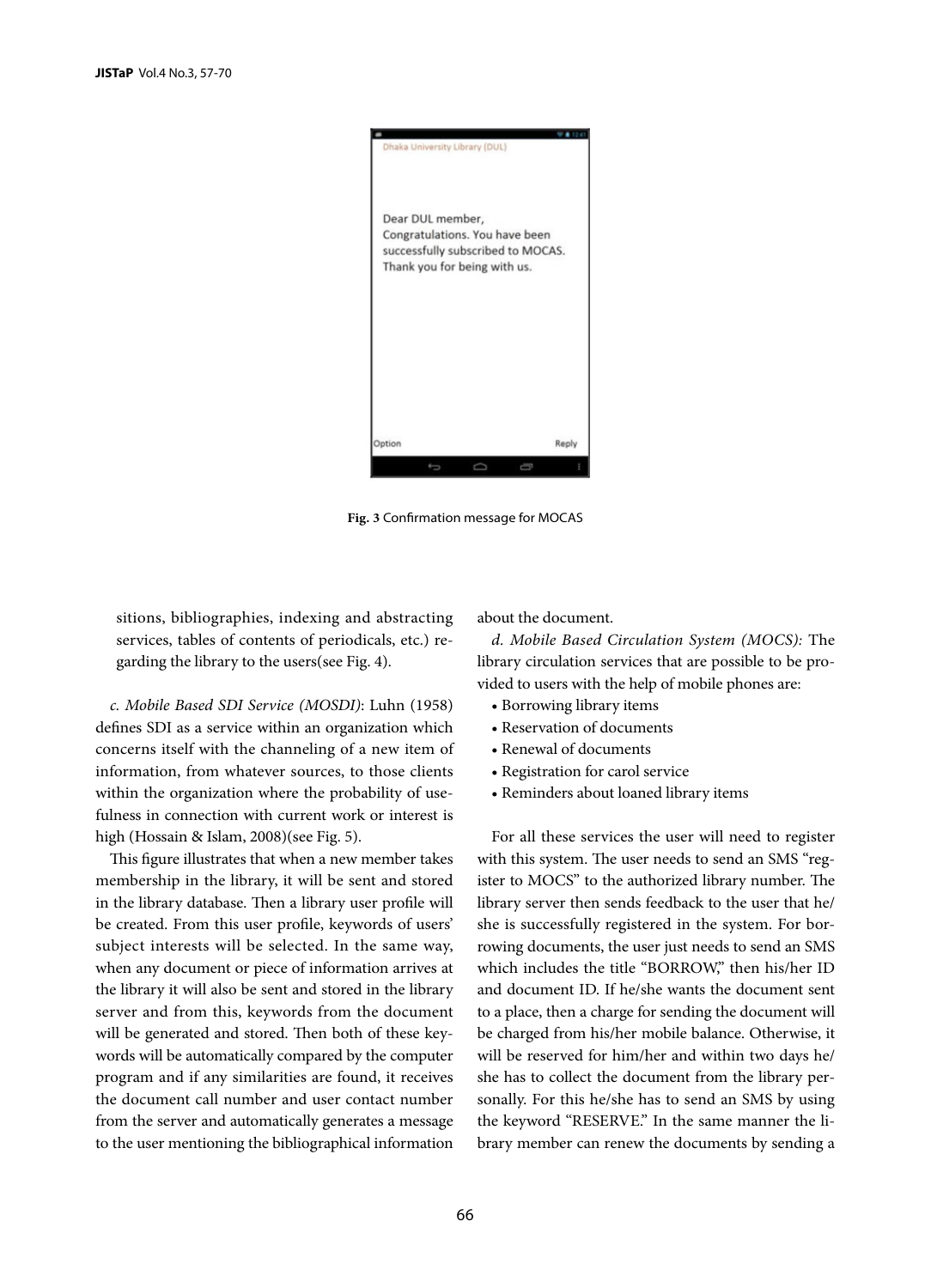

**Fig. 3** Confirmation message for MOCAS

sitions, bibliographies, indexing and abstracting services, tables of contents of periodicals, etc.) regarding the library to the users(see Fig. 4).

*c. Mobile Based SDI Service (MOSDI)*: Luhn (1958) defines SDI as a service within an organization which concerns itself with the channeling of a new item of information, from whatever sources, to those clients within the organization where the probability of usefulness in connection with current work or interest is high (Hossain & Islam, 2008)(see Fig. 5).

This figure illustrates that when a new member takes membership in the library, it will be sent and stored in the library database. Then a library user profile will be created. From this user profile, keywords of users' subject interests will be selected. In the same way, when any document or piece of information arrives at the library it will also be sent and stored in the library server and from this, keywords from the document will be generated and stored. Then both of these keywords will be automatically compared by the computer program and if any similarities are found, it receives the document call number and user contact number from the server and automatically generates a message to the user mentioning the bibliographical information

#### about the document.

*d. Mobile Based Circulation System (MOCS):* The library circulation services that are possible to be provided to users with the help of mobile phones are:

- Borrowing library items
- Reservation of documents
- Renewal of documents
- Registration for carol service
- Reminders about loaned library items

For all these services the user will need to register with this system. The user needs to send an SMS "register to MOCS" to the authorized library number. The library server then sends feedback to the user that he/ she is successfully registered in the system. For borrowing documents, the user just needs to send an SMS which includes the title "BORROW," then his/her ID and document ID. If he/she wants the document sent to a place, then a charge for sending the document will be charged from his/her mobile balance. Otherwise, it will be reserved for him/her and within two days he/ she has to collect the document from the library personally. For this he/she has to send an SMS by using the keyword "RESERVE." In the same manner the library member can renew the documents by sending a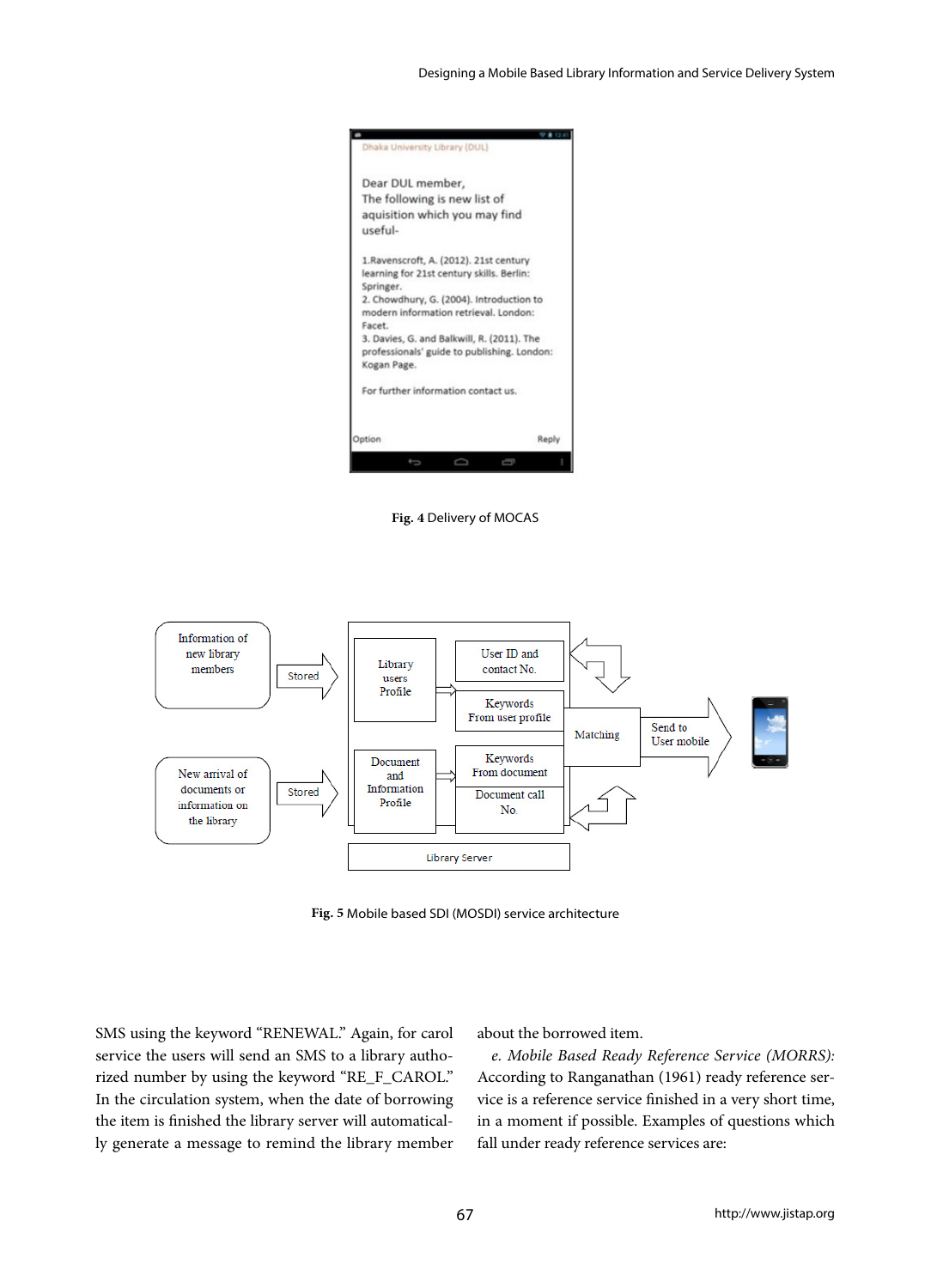

**Fig. 4** Delivery of MOCAS



**Fig. 5** Mobile based SDI (MOSDI) service architecture

SMS using the keyword "RENEWAL." Again, for carol service the users will send an SMS to a library authorized number by using the keyword "RE\_F\_CAROL." In the circulation system, when the date of borrowing the item is finished the library server will automatically generate a message to remind the library member

about the borrowed item.

*e. Mobile Based Ready Reference Service (MORRS):*  According to Ranganathan (1961) ready reference service is a reference service finished in a very short time, in a moment if possible. Examples of questions which fall under ready reference services are: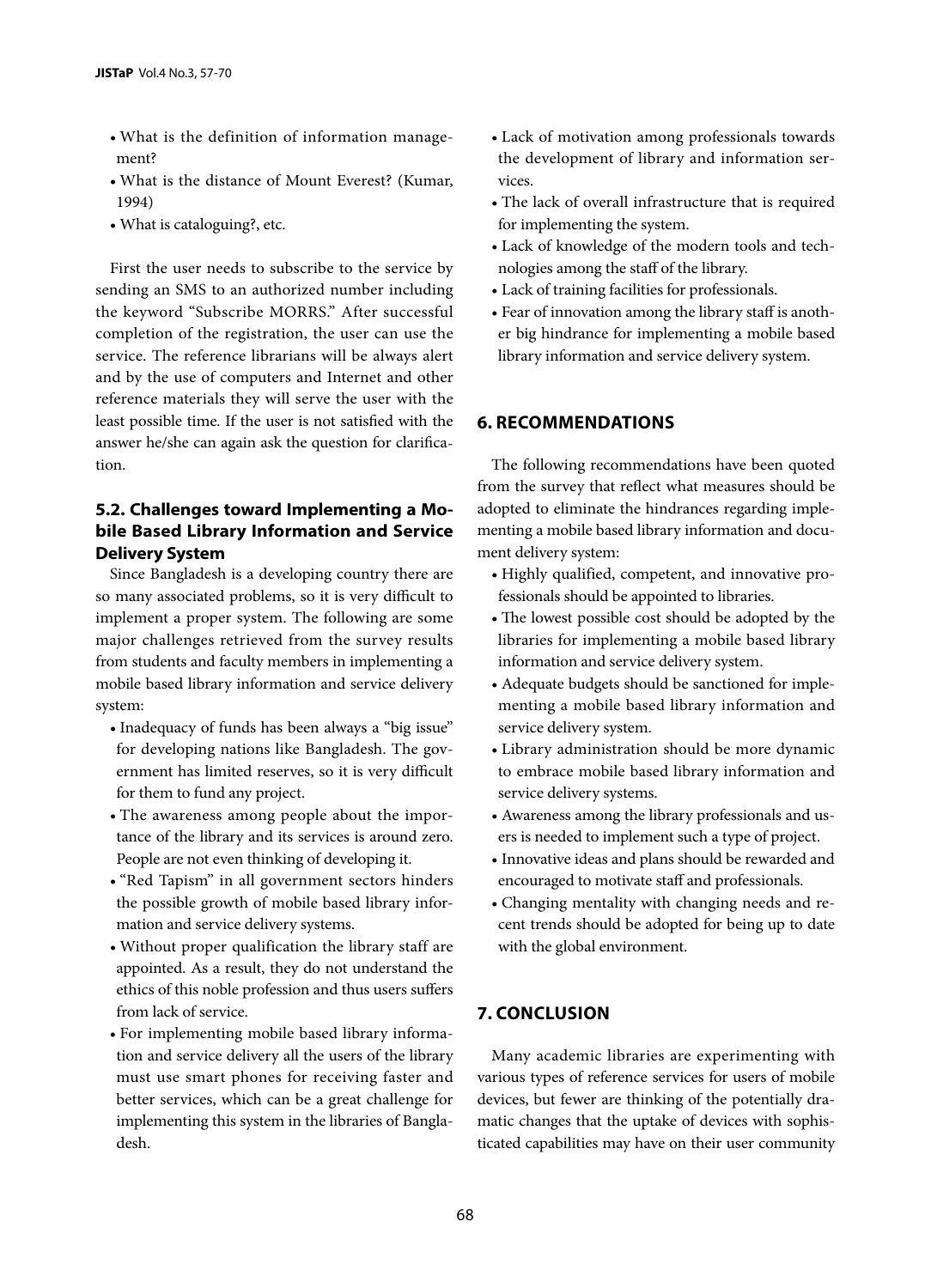- What is the definition of information management?
- What is the distance of Mount Everest? (Kumar, 1994)
- What is cataloguing?, etc.

First the user needs to subscribe to the service by sending an SMS to an authorized number including the keyword "Subscribe MORRS." After successful completion of the registration, the user can use the service. The reference librarians will be always alert and by the use of computers and Internet and other reference materials they will serve the user with the least possible time. If the user is not satisfied with the answer he/she can again ask the question for clarification.

# **5.2. Challenges toward Implementing a Mobile Based Library Information and Service Delivery System**

Since Bangladesh is a developing country there are so many associated problems, so it is very difficult to implement a proper system. The following are some major challenges retrieved from the survey results from students and faculty members in implementing a mobile based library information and service delivery system:

- Inadequacy of funds has been always a "big issue" for developing nations like Bangladesh. The government has limited reserves, so it is very difficult for them to fund any project.
- The awareness among people about the importance of the library and its services is around zero. People are not even thinking of developing it.
- "Red Tapism" in all government sectors hinders the possible growth of mobile based library information and service delivery systems.
- Without proper qualification the library staff are appointed. As a result, they do not understand the ethics of this noble profession and thus users suffers from lack of service.
- For implementing mobile based library information and service delivery all the users of the library must use smart phones for receiving faster and better services, which can be a great challenge for implementing this system in the libraries of Bangladesh.
- Lack of motivation among professionals towards the development of library and information services.
- The lack of overall infrastructure that is required for implementing the system.
- Lack of knowledge of the modern tools and technologies among the staff of the library.
- Lack of training facilities for professionals.
- Fear of innovation among the library staff is another big hindrance for implementing a mobile based library information and service delivery system.

# **6. RECOMMENDATIONS**

The following recommendations have been quoted from the survey that reflect what measures should be adopted to eliminate the hindrances regarding implementing a mobile based library information and document delivery system:

- Highly qualified, competent, and innovative professionals should be appointed to libraries.
- The lowest possible cost should be adopted by the libraries for implementing a mobile based library information and service delivery system.
- Adequate budgets should be sanctioned for implementing a mobile based library information and service delivery system.
- Library administration should be more dynamic to embrace mobile based library information and service delivery systems.
- Awareness among the library professionals and users is needed to implement such a type of project.
- Innovative ideas and plans should be rewarded and encouraged to motivate staff and professionals.
- Changing mentality with changing needs and recent trends should be adopted for being up to date with the global environment.

# **7. CONCLUSION**

Many academic libraries are experimenting with various types of reference services for users of mobile devices, but fewer are thinking of the potentially dramatic changes that the uptake of devices with sophisticated capabilities may have on their user community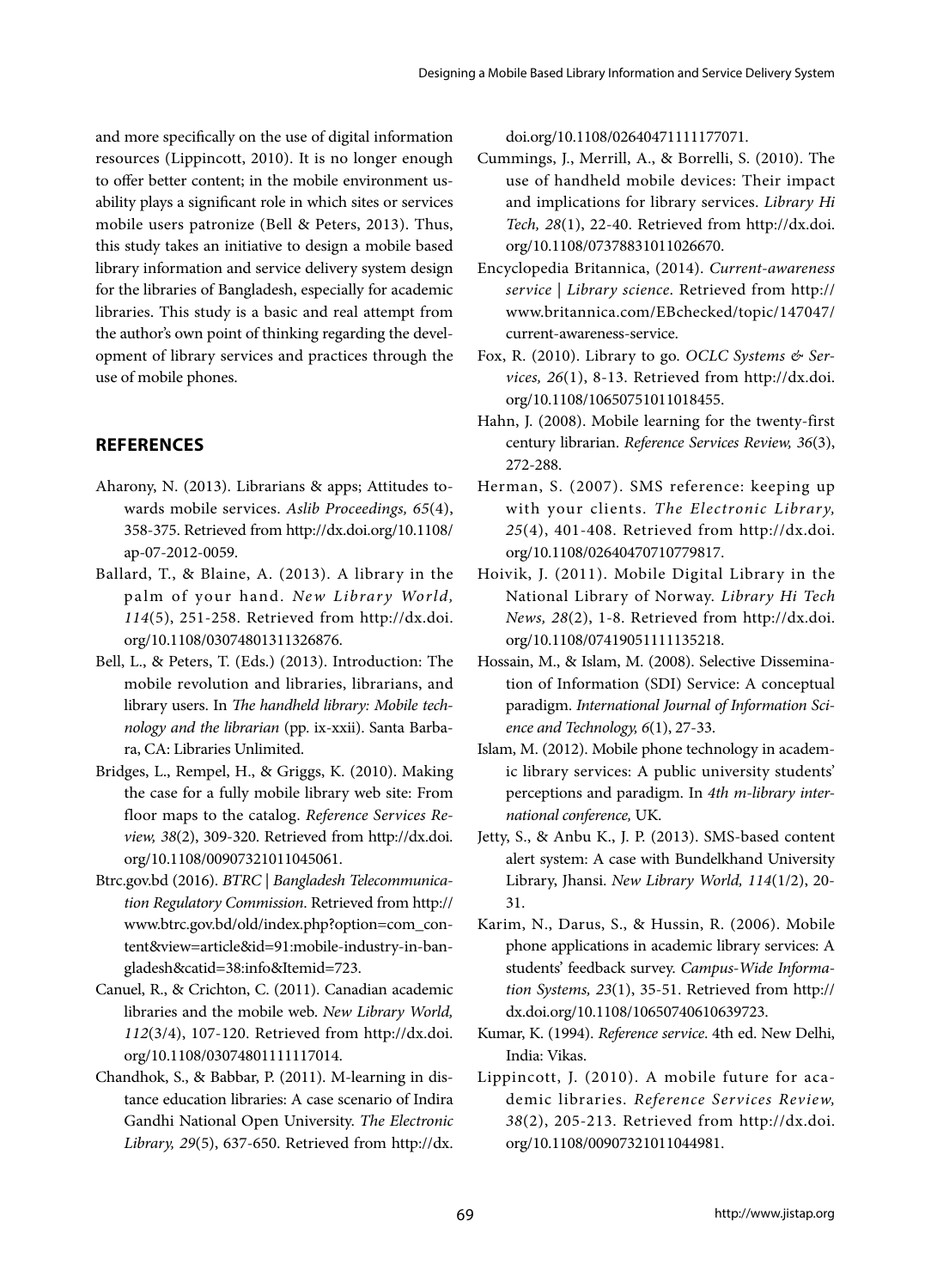and more specifically on the use of digital information resources (Lippincott, 2010). It is no longer enough to offer better content; in the mobile environment usability plays a significant role in which sites or services mobile users patronize (Bell & Peters, 2013). Thus, this study takes an initiative to design a mobile based library information and service delivery system design for the libraries of Bangladesh, especially for academic libraries. This study is a basic and real attempt from the author's own point of thinking regarding the development of library services and practices through the use of mobile phones.

# **REFERENCES**

- Aharony, N. (2013). Librarians & apps; Attitudes towards mobile services. *Aslib Proceedings, 65*(4), 358-375. Retrieved from http://dx.doi.org/10.1108/ ap-07-2012-0059.
- Ballard, T., & Blaine, A. (2013). A library in the palm of your hand. *New Library World*, *114*(5), 251-258. Retrieved from http://dx.doi. org/10.1108/03074801311326876.
- Bell, L., & Peters, T. (Eds.) (2013). Introduction: The mobile revolution and libraries, librarians, and library users. In *The handheld library: Mobile technology and the librarian* (pp. ix-xxii). Santa Barbara, CA: Libraries Unlimited.
- Bridges, L., Rempel, H., & Griggs, K. (2010). Making the case for a fully mobile library web site: From floor maps to the catalog. *Reference Services Review, 38*(2), 309-320. Retrieved from http://dx.doi. org/10.1108/00907321011045061.
- Btrc.gov.bd (2016). *BTRC | Bangladesh Telecommunication Regulatory Commission*. Retrieved from http:// www.btrc.gov.bd/old/index.php?option=com\_content&view=article&id=91:mobile-industry-in-bangladesh&catid=38:info&Itemid=723.
- Canuel, R., & Crichton, C. (2011). Canadian academic libraries and the mobile web. *New Library World, 112*(3/4), 107-120. Retrieved from http://dx.doi. org/10.1108/03074801111117014.
- Chandhok, S., & Babbar, P. (2011). M-learning in distance education libraries: A case scenario of Indira Gandhi National Open University. *The Electronic Library, 29*(5), 637-650. Retrieved from http://dx.

doi.org/10.1108/02640471111177071.

- Cummings, J., Merrill, A., & Borrelli, S. (2010). The use of handheld mobile devices: Their impact and implications for library services. *Library Hi Tech, 28*(1), 22-40. Retrieved from http://dx.doi. org/10.1108/07378831011026670.
- Encyclopedia Britannica, (2014). *Current-awareness service | Library science*. Retrieved from http:// www.britannica.com/EBchecked/topic/147047/ current-awareness-service.
- Fox, R. (2010). Library to go. *OCLC Systems & Services, 26*(1), 8-13. Retrieved from http://dx.doi. org/10.1108/10650751011018455.
- Hahn, J. (2008). Mobile learning for the twenty‐first century librarian. *Reference Services Review, 36*(3), 272-288.
- Herman, S. (2007). SMS reference: keeping up with your clients. *The Electronic Library, 25*(4), 401-408. Retrieved from http://dx.doi. org/10.1108/02640470710779817.
- Hoivik, J. (2011). Mobile Digital Library in the National Library of Norway. *Library Hi Tech News, 28*(2), 1-8. Retrieved from http://dx.doi. org/10.1108/07419051111135218.
- Hossain, M., & Islam, M. (2008). Selective Dissemination of Information (SDI) Service: A conceptual paradigm. *International Journal of Information Science and Technology, 6*(1), 27-33.
- Islam, M. (2012). Mobile phone technology in academic library services: A public university students' perceptions and paradigm. In *4th m-library international conference,* UK.
- Jetty, S., & Anbu K., J. P. (2013). SMS‐based content alert system: A case with Bundelkhand University Library, Jhansi. *New Library World, 114*(1/2), 20- 31.
- Karim, N., Darus, S., & Hussin, R. (2006). Mobile phone applications in academic library services: A students' feedback survey. *Campus-Wide Information Systems, 23*(1), 35-51. Retrieved from http:// dx.doi.org/10.1108/10650740610639723.
- Kumar, K. (1994). *Reference service*. 4th ed. New Delhi, India: Vikas.
- Lippincott, J. (2010). A mobile future for academic libraries. *Reference Services Review, 38*(2), 205-213. Retrieved from http://dx.doi. org/10.1108/00907321011044981.